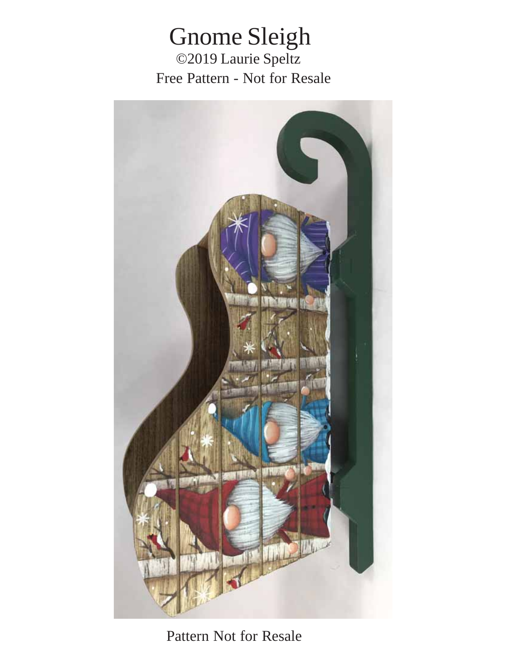Gnome Sleigh ©2019 Laurie Speltz Free Pattern - Not for Resale



Pattern Not for Resale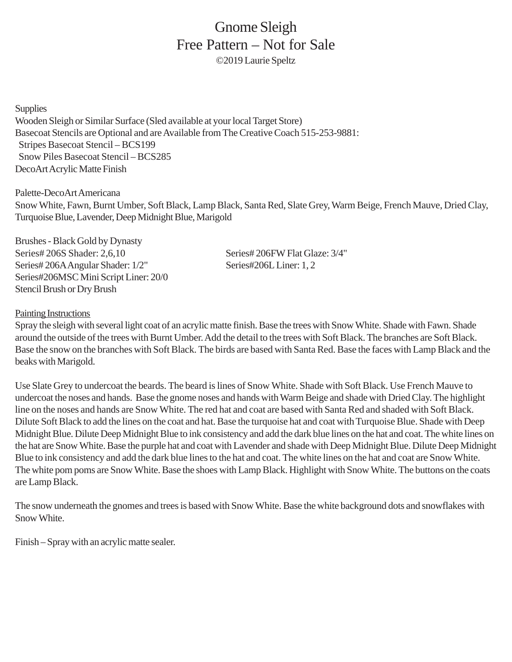## Gnome Sleigh Free Pattern – Not for Sale ©2019 Laurie Speltz

**Supplies** Wooden Sleigh or Similar Surface (Sled available at your local Target Store) Basecoat Stencils are Optional and are Available from The Creative Coach 515-253-9881: Stripes Basecoat Stencil – BCS199 Snow Piles Basecoat Stencil – BCS285 DecoArt Acrylic Matte Finish

Palette-DecoArt Americana Snow White, Fawn, Burnt Umber, Soft Black, Lamp Black, Santa Red, Slate Grey, Warm Beige, French Mauve, Dried Clay, Turquoise Blue, Lavender, Deep Midnight Blue, Marigold

Brushes - Black Gold by Dynasty Series# 206S Shader: 2,6,10 Series# 206FW Flat Glaze: 3/4" Series# 206A Angular Shader: 1/2" Series#206L Liner: 1, 2 Series#206MSC Mini Script Liner: 20/0 Stencil Brush or Dry Brush

## Painting Instructions

Spray the sleigh with several light coat of an acrylic matte finish. Base the trees with Snow White. Shade with Fawn. Shade around the outside of the trees with Burnt Umber. Add the detail to the trees with Soft Black. The branches are Soft Black. Base the snow on the branches with Soft Black. The birds are based with Santa Red. Base the faces with Lamp Black and the beaks with Marigold.

Use Slate Grey to undercoat the beards. The beard is lines of Snow White. Shade with Soft Black. Use French Mauve to undercoat the noses and hands. Base the gnome noses and hands with Warm Beige and shade with Dried Clay. The highlight line on the noses and hands are Snow White. The red hat and coat are based with Santa Red and shaded with Soft Black. Dilute Soft Black to add the lines on the coat and hat. Base the turquoise hat and coat with Turquoise Blue. Shade with Deep Midnight Blue. Dilute Deep Midnight Blue to ink consistency and add the dark blue lines on the hat and coat. The white lines on the hat are Snow White. Base the purple hat and coat with Lavender and shade with Deep Midnight Blue. Dilute Deep Midnight Blue to ink consistency and add the dark blue lines to the hat and coat. The white lines on the hat and coat are Snow White. The white pom poms are Snow White. Base the shoes with Lamp Black. Highlight with Snow White. The buttons on the coats are Lamp Black.

The snow underneath the gnomes and trees is based with Snow White. Base the white background dots and snowflakes with Snow White.

Finish – Spray with an acrylic matte sealer.